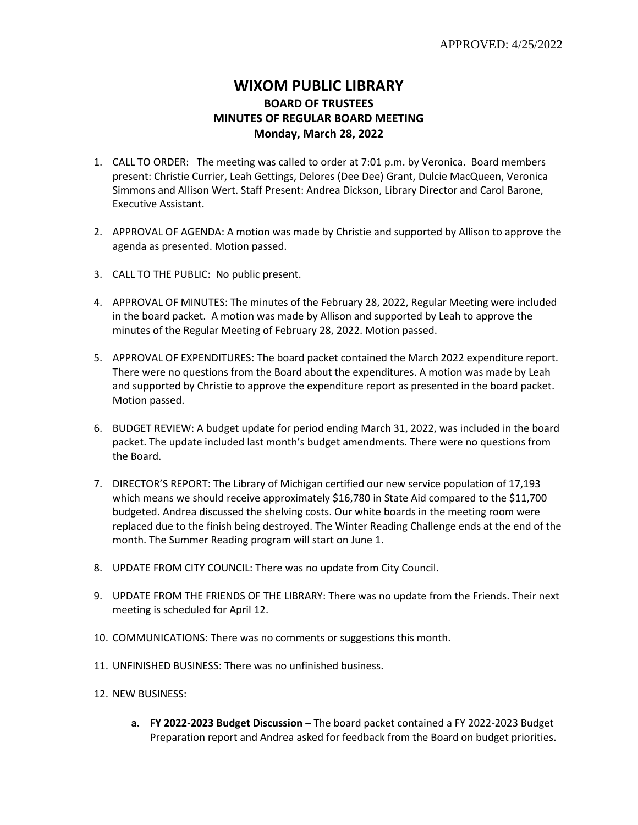## **WIXOM PUBLIC LIBRARY BOARD OF TRUSTEES MINUTES OF REGULAR BOARD MEETING Monday, March 28, 2022**

- 1. CALL TO ORDER: The meeting was called to order at 7:01 p.m. by Veronica. Board members present: Christie Currier, Leah Gettings, Delores (Dee Dee) Grant, Dulcie MacQueen, Veronica Simmons and Allison Wert. Staff Present: Andrea Dickson, Library Director and Carol Barone, Executive Assistant.
- 2. APPROVAL OF AGENDA: A motion was made by Christie and supported by Allison to approve the agenda as presented. Motion passed.
- 3. CALL TO THE PUBLIC: No public present.
- 4. APPROVAL OF MINUTES: The minutes of the February 28, 2022, Regular Meeting were included in the board packet. A motion was made by Allison and supported by Leah to approve the minutes of the Regular Meeting of February 28, 2022. Motion passed.
- 5. APPROVAL OF EXPENDITURES: The board packet contained the March 2022 expenditure report. There were no questions from the Board about the expenditures. A motion was made by Leah and supported by Christie to approve the expenditure report as presented in the board packet. Motion passed.
- 6. BUDGET REVIEW: A budget update for period ending March 31, 2022, was included in the board packet. The update included last month's budget amendments. There were no questions from the Board.
- 7. DIRECTOR'S REPORT: The Library of Michigan certified our new service population of 17,193 which means we should receive approximately \$16,780 in State Aid compared to the \$11,700 budgeted. Andrea discussed the shelving costs. Our white boards in the meeting room were replaced due to the finish being destroyed. The Winter Reading Challenge ends at the end of the month. The Summer Reading program will start on June 1.
- 8. UPDATE FROM CITY COUNCIL: There was no update from City Council.
- 9. UPDATE FROM THE FRIENDS OF THE LIBRARY: There was no update from the Friends. Their next meeting is scheduled for April 12.
- 10. COMMUNICATIONS: There was no comments or suggestions this month.
- 11. UNFINISHED BUSINESS: There was no unfinished business.
- 12. NEW BUSINESS:
	- **a. FY 2022-2023 Budget Discussion –** The board packet contained a FY 2022-2023 Budget Preparation report and Andrea asked for feedback from the Board on budget priorities.